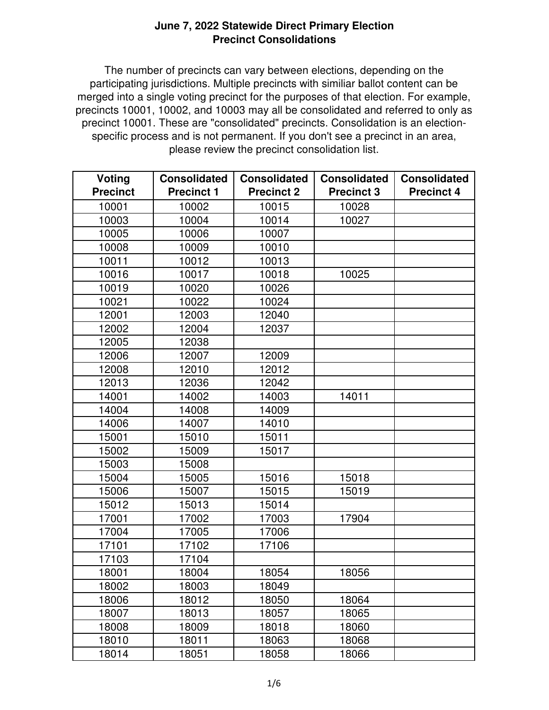The number of precincts can vary between elections, depending on the participating jurisdictions. Multiple precincts with similiar ballot content can be merged into a single voting precinct for the purposes of that election. For example, precincts 10001, 10002, and 10003 may all be consolidated and referred to only as precinct 10001. These are "consolidated" precincts. Consolidation is an electionspecific process and is not permanent. If you don't see a precinct in an area, please review the precinct consolidation list.

| Voting          | <b>Consolidated</b> | <b>Consolidated</b> | <b>Consolidated</b> | <b>Consolidated</b> |
|-----------------|---------------------|---------------------|---------------------|---------------------|
| <b>Precinct</b> | <b>Precinct 1</b>   | <b>Precinct 2</b>   | <b>Precinct 3</b>   | <b>Precinct 4</b>   |
| 10001           | 10002               | 10015               | 10028               |                     |
| 10003           | 10004               | 10014               | 10027               |                     |
| 10005           | 10006               | 10007               |                     |                     |
| 10008           | 10009               | 10010               |                     |                     |
| 10011           | 10012               | 10013               |                     |                     |
| 10016           | 10017               | 10018               | 10025               |                     |
| 10019           | 10020               | 10026               |                     |                     |
| 10021           | 10022               | 10024               |                     |                     |
| 12001           | 12003               | 12040               |                     |                     |
| 12002           | 12004               | 12037               |                     |                     |
| 12005           | 12038               |                     |                     |                     |
| 12006           | 12007               | 12009               |                     |                     |
| 12008           | 12010               | 12012               |                     |                     |
| 12013           | 12036               | 12042               |                     |                     |
| 14001           | 14002               | 14003               | 14011               |                     |
| 14004           | 14008               | 14009               |                     |                     |
| 14006           | 14007               | 14010               |                     |                     |
| 15001           | 15010               | 15011               |                     |                     |
| 15002           | 15009               | 15017               |                     |                     |
| 15003           | 15008               |                     |                     |                     |
| 15004           | 15005               | 15016               | 15018               |                     |
| 15006           | 15007               | 15015               | 15019               |                     |
| 15012           | 15013               | 15014               |                     |                     |
| 17001           | 17002               | 17003               | 17904               |                     |
| 17004           | 17005               | 17006               |                     |                     |
| 17101           | 17102               | 17106               |                     |                     |
| 17103           | 17104               |                     |                     |                     |
| 18001           | 18004               | 18054               | 18056               |                     |
| 18002           | 18003               | 18049               |                     |                     |
| 18006           | 18012               | 18050               | 18064               |                     |
| 18007           | 18013               | 18057               | 18065               |                     |
| 18008           | 18009               | 18018               | 18060               |                     |
| 18010           | 18011               | 18063               | 18068               |                     |
| 18014           | 18051               | 18058               | 18066               |                     |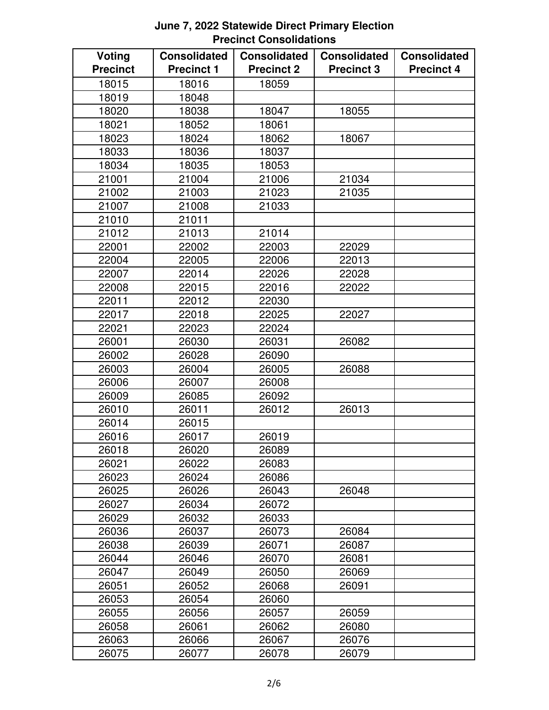| Voting<br><b>Precinct</b> | <b>Consolidated</b><br><b>Precinct 1</b> | <b>Consolidated</b><br><b>Precinct 2</b> | <b>Consolidated</b><br><b>Precinct 3</b> | <b>Consolidated</b><br><b>Precinct 4</b> |
|---------------------------|------------------------------------------|------------------------------------------|------------------------------------------|------------------------------------------|
| 18015                     | 18016                                    | 18059                                    |                                          |                                          |
| 18019                     | 18048                                    |                                          |                                          |                                          |
| 18020                     | 18038                                    | 18047                                    | 18055                                    |                                          |
| 18021                     | 18052                                    | 18061                                    |                                          |                                          |
| 18023                     | 18024                                    | 18062                                    | 18067                                    |                                          |
| 18033                     | 18036                                    | 18037                                    |                                          |                                          |
| 18034                     | 18035                                    | 18053                                    |                                          |                                          |
| 21001                     | 21004                                    | 21006                                    | 21034                                    |                                          |
| 21002                     | 21003                                    | 21023                                    | 21035                                    |                                          |
| 21007                     | 21008                                    | 21033                                    |                                          |                                          |
| 21010                     | 21011                                    |                                          |                                          |                                          |
| 21012                     | 21013                                    | 21014                                    |                                          |                                          |
| 22001                     | 22002                                    | 22003                                    | 22029                                    |                                          |
| 22004                     | 22005                                    | 22006                                    | 22013                                    |                                          |
| 22007                     | 22014                                    | 22026                                    | 22028                                    |                                          |
| 22008                     | 22015                                    | 22016                                    | 22022                                    |                                          |
| 22011                     | 22012                                    | 22030                                    |                                          |                                          |
| 22017                     | 22018                                    | 22025                                    | 22027                                    |                                          |
| 22021                     | 22023                                    | 22024                                    |                                          |                                          |
| 26001                     | 26030                                    | 26031                                    | 26082                                    |                                          |
| 26002                     | 26028                                    | 26090                                    |                                          |                                          |
| 26003                     | 26004                                    | 26005                                    | 26088                                    |                                          |
| 26006                     | 26007                                    | 26008                                    |                                          |                                          |
| 26009                     | 26085                                    | 26092                                    |                                          |                                          |
| 26010                     | 26011                                    | 26012                                    | 26013                                    |                                          |
| 26014                     | 26015                                    |                                          |                                          |                                          |
| 26016                     | 26017                                    | 26019                                    |                                          |                                          |
| 26018                     | 26020                                    | 26089                                    |                                          |                                          |
| 26021                     | 26022                                    | 26083                                    |                                          |                                          |
| 26023                     | 26024                                    | 26086                                    |                                          |                                          |
| 26025                     | 26026                                    | 26043                                    | 26048                                    |                                          |
| 26027                     | 26034                                    | 26072                                    |                                          |                                          |
| 26029                     | 26032                                    | 26033                                    |                                          |                                          |
| 26036                     | 26037                                    | 26073                                    | 26084                                    |                                          |
| 26038                     | 26039                                    | 26071                                    | 26087                                    |                                          |
| 26044                     | 26046                                    | 26070                                    | 26081                                    |                                          |
| 26047                     | 26049                                    | 26050                                    | 26069                                    |                                          |
| 26051                     | 26052                                    | 26068                                    | 26091                                    |                                          |
| 26053                     | 26054                                    | 26060                                    |                                          |                                          |
| 26055                     | 26056                                    | 26057                                    | 26059                                    |                                          |
| 26058                     | 26061                                    | 26062                                    | 26080                                    |                                          |
| 26063                     | 26066                                    | 26067                                    | 26076                                    |                                          |
| 26075                     | 26077                                    | 26078                                    | 26079                                    |                                          |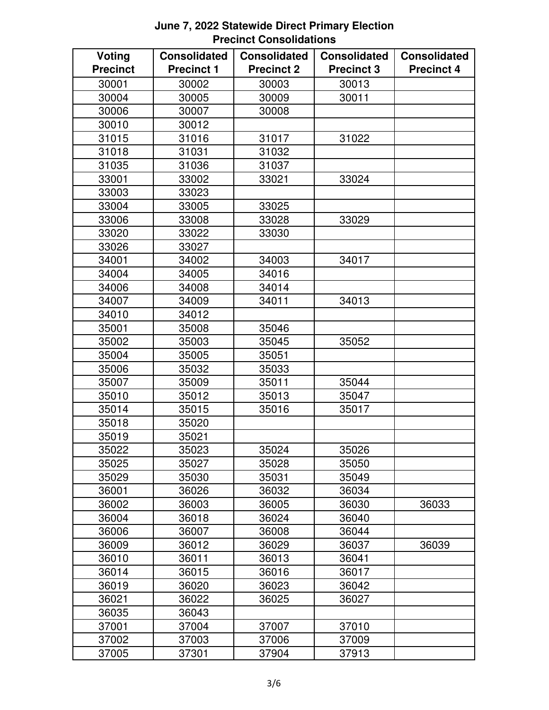| Voting          | <b>Consolidated</b> | <b>Consolidated</b> | <b>Consolidated</b> | <b>Consolidated</b> |
|-----------------|---------------------|---------------------|---------------------|---------------------|
| <b>Precinct</b> | <b>Precinct 1</b>   | <b>Precinct 2</b>   | <b>Precinct 3</b>   | <b>Precinct 4</b>   |
| 30001           | 30002               | 30003               | 30013               |                     |
| 30004           | 30005               | 30009               | 30011               |                     |
| 30006           | 30007               | 30008               |                     |                     |
| 30010           | 30012               |                     |                     |                     |
| 31015           | 31016               | 31017               | 31022               |                     |
| 31018           | 31031               | 31032               |                     |                     |
| 31035           | 31036               | 31037               |                     |                     |
| 33001           | 33002               | 33021               | 33024               |                     |
| 33003           | 33023               |                     |                     |                     |
| 33004           | 33005               | 33025               |                     |                     |
| 33006           | 33008               | 33028               | 33029               |                     |
| 33020           | 33022               | 33030               |                     |                     |
| 33026           | 33027               |                     |                     |                     |
| 34001           | 34002               | 34003               | 34017               |                     |
| 34004           | 34005               | 34016               |                     |                     |
| 34006           | 34008               | 34014               |                     |                     |
| 34007           | 34009               | 34011               | 34013               |                     |
| 34010           | 34012               |                     |                     |                     |
| 35001           | 35008               | 35046               |                     |                     |
| 35002           | 35003               | 35045               | 35052               |                     |
| 35004           | 35005               | 35051               |                     |                     |
| 35006           | 35032               | 35033               |                     |                     |
| 35007           | 35009               | 35011               | 35044               |                     |
| 35010           | 35012               | 35013               | 35047               |                     |
| 35014           | 35015               | 35016               | 35017               |                     |
| 35018           | 35020               |                     |                     |                     |
| 35019           | 35021               |                     |                     |                     |
| 35022           | 35023               | 35024               | 35026               |                     |
| 35025           | 35027               | 35028               | 35050               |                     |
| 35029           | 35030               | 35031               | 35049               |                     |
| 36001           | 36026               | 36032               | 36034               |                     |
| 36002           | 36003               | 36005               | 36030               | 36033               |
| 36004           | 36018               | 36024               | 36040               |                     |
| 36006           | 36007               | 36008               | 36044               |                     |
| 36009           | 36012               | 36029               | 36037               | 36039               |
| 36010           | 36011               | 36013               | 36041               |                     |
| 36014           | 36015               | 36016               | 36017               |                     |
| 36019           | 36020               | 36023               | 36042               |                     |
| 36021           | 36022               | 36025               | 36027               |                     |
| 36035           | 36043               |                     |                     |                     |
| 37001           | 37004               | 37007               | 37010               |                     |
| 37002           | 37003               | 37006               | 37009               |                     |
| 37005           | 37301               | 37904               | 37913               |                     |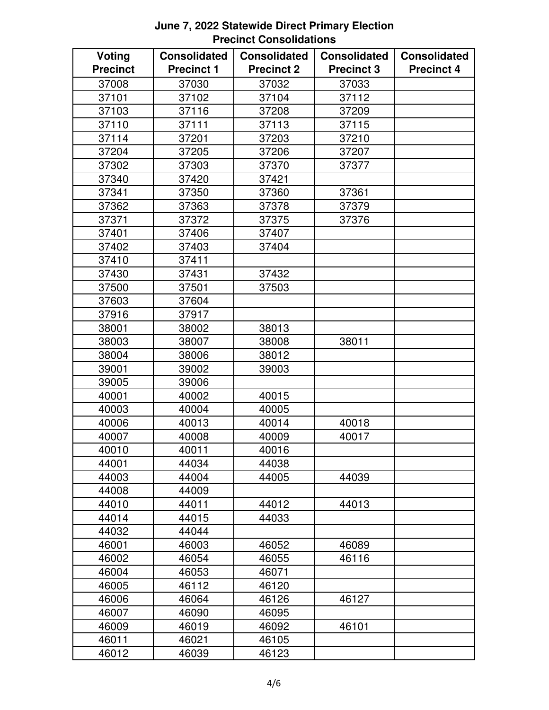| <b>Voting</b>   | <b>Consolidated</b> | <b>Consolidated</b> | <b>Consolidated</b> | <b>Consolidated</b> |
|-----------------|---------------------|---------------------|---------------------|---------------------|
| <b>Precinct</b> | <b>Precinct 1</b>   | <b>Precinct 2</b>   | <b>Precinct 3</b>   | <b>Precinct 4</b>   |
| 37008           | 37030               | 37032               | 37033               |                     |
| 37101           | 37102               | 37104               | 37112               |                     |
| 37103           | 37116               | 37208               | 37209               |                     |
| 37110           | 37111               | 37113               | 37115               |                     |
| 37114           | 37201               | 37203               | 37210               |                     |
| 37204           | 37205               | 37206               | 37207               |                     |
| 37302           | 37303               | 37370               | 37377               |                     |
| 37340           | 37420               | 37421               |                     |                     |
| 37341           | 37350               | 37360               | 37361               |                     |
| 37362           | 37363               | 37378               | 37379               |                     |
| 37371           | 37372               | 37375               | 37376               |                     |
| 37401           | 37406               | 37407               |                     |                     |
| 37402           | 37403               | 37404               |                     |                     |
| 37410           | 37411               |                     |                     |                     |
| 37430           | 37431               | 37432               |                     |                     |
| 37500           | 37501               | 37503               |                     |                     |
| 37603           | 37604               |                     |                     |                     |
| 37916           | 37917               |                     |                     |                     |
| 38001           | 38002               | 38013               |                     |                     |
| 38003           | 38007               | 38008               | 38011               |                     |
| 38004           | 38006               | 38012               |                     |                     |
| 39001           | 39002               | 39003               |                     |                     |
| 39005           | 39006               |                     |                     |                     |
| 40001           | 40002               | 40015               |                     |                     |
| 40003           | 40004               | 40005               |                     |                     |
| 40006           | 40013               | 40014               | 40018               |                     |
| 40007           | 40008               | 40009               | 40017               |                     |
| 40010           | 40011               | 40016               |                     |                     |
| 44001           | 44034               | 44038               |                     |                     |
| 44003           | 44004               | 44005               | 44039               |                     |
| 44008           | 44009               |                     |                     |                     |
| 44010           | 44011               | 44012               | 44013               |                     |
| 44014           | 44015               | 44033               |                     |                     |
| 44032           | 44044               |                     |                     |                     |
| 46001           | 46003               | 46052               | 46089               |                     |
| 46002           | 46054               | 46055               | 46116               |                     |
| 46004           | 46053               | 46071               |                     |                     |
| 46005           | 46112               | 46120               |                     |                     |
| 46006           | 46064               | 46126               | 46127               |                     |
| 46007           | 46090               | 46095               |                     |                     |
| 46009           | 46019               | 46092               | 46101               |                     |
| 46011           | 46021               | 46105               |                     |                     |
| 46012           | 46039               | 46123               |                     |                     |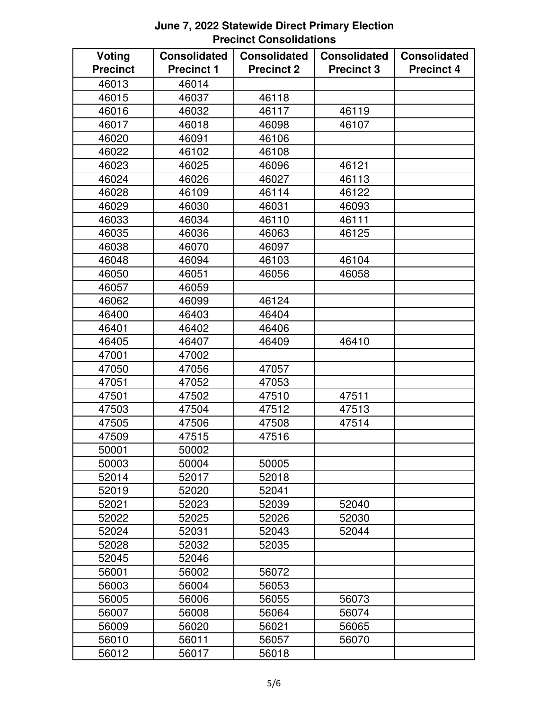| <b>Voting</b>   | <b>Consolidated</b> | <b>Consolidated</b> | <b>Consolidated</b> | <b>Consolidated</b> |
|-----------------|---------------------|---------------------|---------------------|---------------------|
| <b>Precinct</b> | <b>Precinct 1</b>   | <b>Precinct 2</b>   | <b>Precinct 3</b>   | <b>Precinct 4</b>   |
| 46013           | 46014               |                     |                     |                     |
| 46015           | 46037               | 46118               |                     |                     |
| 46016           | 46032               | 46117               | 46119               |                     |
| 46017           | 46018               | 46098               | 46107               |                     |
| 46020           | 46091               | 46106               |                     |                     |
| 46022           | 46102               | 46108               |                     |                     |
| 46023           | 46025               | 46096               | 46121               |                     |
| 46024           | 46026               | 46027               | 46113               |                     |
| 46028           | 46109               | 46114               | 46122               |                     |
| 46029           | 46030               | 46031               | 46093               |                     |
| 46033           | 46034               | 46110               | 46111               |                     |
| 46035           | 46036               | 46063               | 46125               |                     |
| 46038           | 46070               | 46097               |                     |                     |
| 46048           | 46094               | 46103               | 46104               |                     |
| 46050           | 46051               | 46056               | 46058               |                     |
| 46057           | 46059               |                     |                     |                     |
| 46062           | 46099               | 46124               |                     |                     |
| 46400           | 46403               | 46404               |                     |                     |
| 46401           | 46402               | 46406               |                     |                     |
| 46405           | 46407               | 46409               | 46410               |                     |
| 47001           | 47002               |                     |                     |                     |
| 47050           | 47056               | 47057               |                     |                     |
| 47051           | 47052               | 47053               |                     |                     |
| 47501           | 47502               | 47510               | 47511               |                     |
| 47503           | 47504               | 47512               | 47513               |                     |
| 47505           | 47506               | 47508               | 47514               |                     |
| 47509           | 47515               | 47516               |                     |                     |
| 50001           | 50002               |                     |                     |                     |
| 50003           | 50004               | 50005               |                     |                     |
| 52014           | 52017               | 52018               |                     |                     |
| 52019           | 52020               | 52041               |                     |                     |
| 52021           | 52023               | 52039               | 52040               |                     |
| 52022           | 52025               | 52026               | 52030               |                     |
| 52024           | 52031               | 52043               | 52044               |                     |
| 52028           | 52032               | 52035               |                     |                     |
| 52045           | 52046               |                     |                     |                     |
| 56001           | 56002               | 56072               |                     |                     |
| 56003           | 56004               | 56053               |                     |                     |
| 56005           | 56006               | 56055               | 56073               |                     |
| 56007           | 56008               | 56064               | 56074               |                     |
| 56009           | 56020               | 56021               | 56065               |                     |
| 56010           | 56011               | 56057               | 56070               |                     |
| 56012           | 56017               | 56018               |                     |                     |